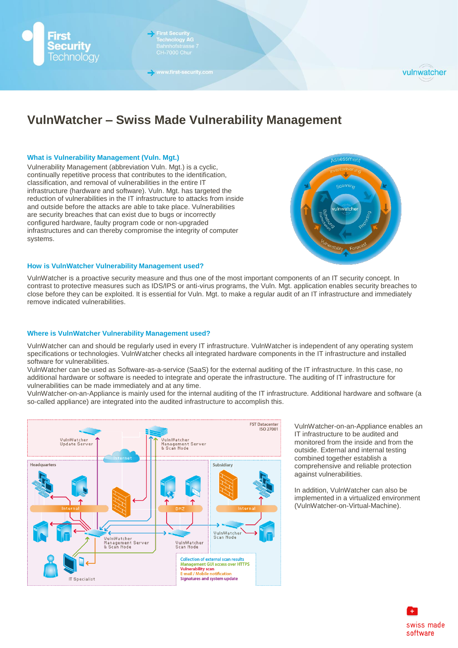

**First Security<br>Technology AC**<br>Bahnhofstrass

www.first-security.com



# **VulnWatcher – Swiss Made Vulnerability Management**

## **What is Vulnerability Management (Vuln. Mgt.)**

Vulnerability Management (abbreviation Vuln. Mgt.) is a cyclic, continually repetitive process that contributes to the identification, classification, and removal of vulnerabilities in the entire IT infrastructure (hardware and software). Vuln. Mgt. has targeted the reduction of vulnerabilities in the IT infrastructure to attacks from inside and outside before the attacks are able to take place. Vulnerabilities are security breaches that can exist due to bugs or incorrectly configured hardware, faulty program code or non-upgraded infrastructures and can thereby compromise the integrity of computer systems.



## **How is VulnWatcher Vulnerability Management used?**

VulnWatcher is a proactive security measure and thus one of the most important components of an IT security concept. In contrast to protective measures such as IDS/IPS or anti-virus programs, the Vuln. Mgt. application enables security breaches to close before they can be exploited. It is essential for Vuln. Mgt. to make a regular audit of an IT infrastructure and immediately remove indicated vulnerabilities.

## **Where is VulnWatcher Vulnerability Management used?**

VulnWatcher can and should be regularly used in every IT infrastructure. VulnWatcher is independent of any operating system specifications or technologies. VulnWatcher checks all integrated hardware components in the IT infrastructure and installed software for vulnerabilities.

VulnWatcher can be used as Software-as-a-service (SaaS) for the external auditing of the IT infrastructure. In this case, no additional hardware or software is needed to integrate and operate the infrastructure. The auditing of IT infrastructure for vulnerabilities can be made immediately and at any time.

VulnWatcher-on-an-Appliance is mainly used for the internal auditing of the IT infrastructure. Additional hardware and software (a so-called appliance) are integrated into the audited infrastructure to accomplish this.



VulnWatcher-on-an-Appliance enables an IT infrastructure to be audited and monitored from the inside and from the outside. External and internal testing combined together establish a comprehensive and reliable protection against vulnerabilities.

In addition, VulnWatcher can also be implemented in a virtualized environment (VulnWatcher-on-Virtual-Machine).